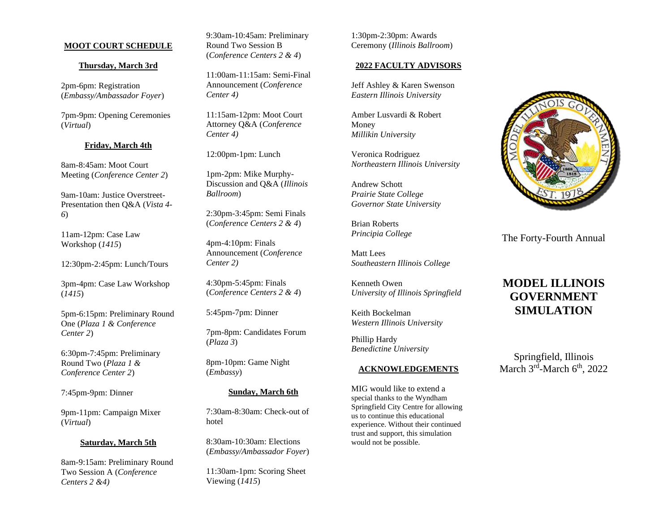# **MOOT COURT SCHEDULE**

## **Thursday, March 3rd**

2pm-6pm: Registration (*Embassy/Ambassador Foyer*)

7pm-9pm: Opening Ceremonies (*Virtual*)

## **Friday, March 4th**

8am-8:45am: Moot Court Meeting (*Conference Center 2*)

9am-10am: Justice Overstreet-Presentation then Q&A (*Vista 4- 6*)

11am-12pm: Case Law Workshop (*1415*)

12:30pm-2:45pm: Lunch/Tours

3pm-4pm: Case Law Workshop (*1415*)

5pm-6:15pm: Preliminary Round One (*Plaza 1 & Conference Center 2*)

6:30pm-7:45pm: Preliminary Round Two (*Plaza 1 & Conference Center 2*)

7:45pm-9pm: Dinner

9pm-11pm: Campaign Mixer (*Virtual*)

#### **Saturday, March 5th**

8am-9:15am: Preliminary Round Two Session A (*Conference Centers 2 &4)*

9:30am-10:45am: Preliminary Round Two Session B (*Conference Centers 2 & 4*)

11:00am-11:15am: Semi-Final Announcement (*Conference Center 4)*

11:15am-12pm: Moot Court Attorney Q&A (*Conference Center 4)*

12:00pm-1pm: Lunch

1pm-2pm: Mike Murphy-Discussion and Q&A (*Illinois Ballroom*)

2:30pm-3:45pm: Semi Finals (*Conference Centers 2 & 4*)

4pm-4:10pm: Finals Announcement (*Conference Center 2)*

4:30pm-5:45pm: Finals (*Conference Centers 2 & 4*)

5:45pm-7pm: Dinner

7pm-8pm: Candidates Forum (*Plaza 3*)

8pm-10pm: Game Night (*Embassy*)

# **Sunday, March 6th**

7:30am-8:30am: Check-out of hotel

8:30am-10:30am: Elections (*Embassy/Ambassador Foyer*)

11:30am-1pm: Scoring Sheet Viewing (*1415*)

1:30pm-2:30pm: Awards Ceremony (*Illinois Ballroom*)

#### **2022 FACULTY ADVISORS**

Jeff Ashley & Karen Swenson *Eastern Illinois University*

Amber Lusvardi & Robert Money *Millikin University*

Veronica Rodriguez *Northeastern Illinois University*

Andrew Schott *Prairie State College Governor State University*

Brian Roberts *Principia College*

Matt Lees *Southeastern Illinois College*

Kenneth Owen *University of Illinois Springfield*

Keith Bockelman *Western Illinois University* 

Phillip Hardy *Benedictine University* 

## **ACKNOWLEDGEMENTS**

MIG would like to extend a special thanks to the Wyndham Springfield City Centre for allowing us to continue this educational experience. Without their continued trust and support, this simulation would not be possible.



The Forty-Fourth Annual

# **MODEL ILLINOIS GOVERNMENT SIMULATION**

Springfield, Illinois March 3<sup>rd</sup>-March 6<sup>th</sup>, 2022